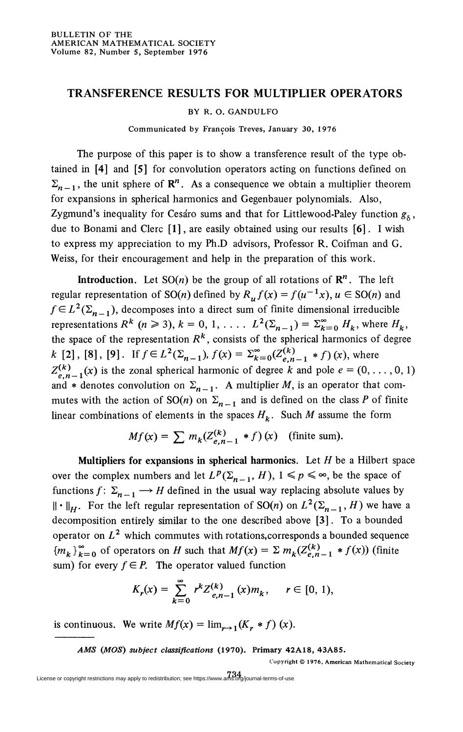## **TRANSFERENCE RESULTS FOR MULTIPLIER OPERATORS**

## BY R. O. GANDULFO

Communicated by Francois Treves, January 30, 1976

The purpose of this paper is to show a transference result of the type obtained in **[4]** and **[5]** for convolution operators acting on functions defined on  $\Sigma_{n-1}$ , the unit sphere of  $\mathbb{R}^n$ . As a consequence we obtain a multiplier theorem for expansions in spherical harmonics and Gegenbauer polynomials. Also, Zygmund's inequality for Cesaro sums and that for Littlewood-Paley function  $g_6$ , due to Bonami and Clerc **[1]**, are easily obtained using our results **[6]**. I wish to express my appreciation to my Ph.D advisors, Professor R. Coifman and G. Weiss, for their encouragement and help in the preparation of this work.

**Introduction.** Let  $SO(n)$  be the group of all rotations of  $\mathbb{R}^n$ . The left regular representation of SO(*n*) defined by  $R_\mu f(x) = f(u^{-1}x)$ ,  $u \in SO(n)$  and  $f \in L^2(\Sigma_{n-1})$ , decomposes into a direct sum of finite dimensional irreducible representations  $R^k$  ( $n \ge 3$ ),  $k = 0, 1, \ldots$  .  $L^2(\Sigma_{n-1}) = \Sigma_{k=0}^{\infty} H_k$ , where  $H_k$ , the space of the representation *R<sup>k</sup>* , consists of the spherical harmonics of degree *k* [2], [8], [9]. If  $f \in L^2(\Sigma_{n-1})$ ,  $f(x) = \Sigma_{k=0}^{\infty}(Z_{e,n-1}^{(k)} * f)(x)$ , where  $Z^{(k)}_{e,n-1}(x)$  is the zonal spherical harmonic of degree k and pole  $e = (0,\ldots,0,1)$ and \* denotes convolution on  $\Sigma_{n-1}$ . A multiplier *M*, is an operator that commutes with the action of  $SO(n)$  on  $\Sigma_{n-1}$  and is defined on the class P of finite linear combinations of elements in the spaces  $H_k$ . Such M assume the form

$$
Mf(x) = \sum m_k(Z_{e,n-1}^{(k)} * f)(x) \quad \text{(finite sum)}.
$$

**Multipliers for expansions in spherical harmonics.** Let *H* be a Hubert space over the complex numbers and let  $L^p(\Sigma_{n-1}, H)$ ,  $1 \leq p \leq \infty$ , be the space of functions  $f: \Sigma_{n-1} \longrightarrow H$  defined in the usual way replacing absolute values by  $\|\cdot\|_H$ . For the left regular representation of SO(*n*) on  $L^2(\Sigma_{n-1}, H)$  we have a decomposition entirely similar to the one described above **[3]**. To a bounded operator on  $L^2$  which commutes with rotations, corresponds a bounded sequence  ${m_k}^{\infty}$  of operators on *H* such that  $Mf(x) = \sum m_k (Z^{(k)}_{e,n-1} * f(x))$  (finite sum) for every  $f \in P$ . The operator valued function

$$
K_r(x) = \sum_{k=0}^{\infty} r^k Z_{e,n-1}^{(k)}(x) m_k, \quad r \in [0, 1),
$$

is continuous. We write  $Mf(x) = \lim_{x\to 1} (K_x * f)(x)$ .

*AMS (MOS) subject classifications* **(1970). Primary 42A18, 43A85.** 

Copyright © 1976, American Mathematical Society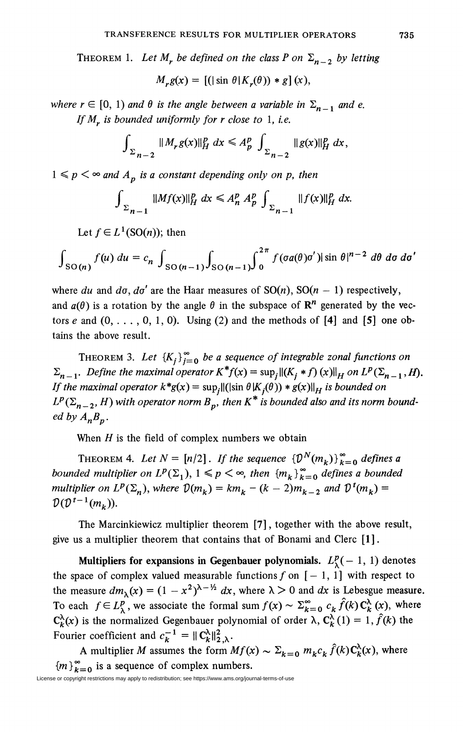THEOREM 1. Let  $M_r$  be defined on the class P on  $\Sigma_{n-2}$  by letting

$$
M_r g(x) = [(\sin \theta | K_r(\theta)) * g](x),
$$

*where r*  $\in$  [0, 1) and  $\theta$  *is the angle between a variable in*  $\Sigma_{n-1}$  *and e. If M<sup>r</sup> is bounded uniformly for r close to* 1, *le.* 

$$
\int_{\Sigma_{n-2}} \|M_r g(x)\|_{H}^p dx \le A_p^p \int_{\Sigma_{n-2}} \|g(x)\|_{H}^p dx,
$$

 $1 \leq p \leq \infty$  and  $A_n$  is a constant depending only on p, then

$$
\int_{\Sigma_{n-1}} \|Mf(x)\|_{H}^{p} dx \leq A_{n}^{p} A_{p}^{p} \int_{\Sigma_{n-1}} \|f(x)\|_{H}^{p} dx.
$$

Let  $f \in L^1(SO(n))$ ; then

$$
\int_{SO(n)} f(u) \ du = c_n \int_{SO(n-1)} \int_{SO(n-1)} \int_0^{2\pi} f(\sigma a(\theta) \sigma') |\sin \theta|^{n-2} \ d\theta \ d\sigma \ d\sigma'
$$

where du and  $d\sigma$ ,  $d\sigma'$  are the Haar measures of  $SO(n)$ ,  $SO(n-1)$  respectively, and  $a(\theta)$  is a rotation by the angle  $\theta$  in the subspace of  $\mathbb{R}^n$  generated by the vectors e and  $(0, \ldots, 0, 1, 0)$ . Using  $(2)$  and the methods of  $[4]$  and  $[5]$  one obtains the above result.

THEOREM 3. Let  ${K_i}_{i=0}^{\infty}$  be a sequence of integrable zonal functions on  $\sum_{n=1}^{\infty}$  *Define the maximal operator*  $K^*f(x) = \sup_j ||(K_j * f)(x)||_H$  on  $L^p(\sum_{n=1}^{\infty}$ , *H*). *If the maximal operator*  $k * g(x) = \sup_i ||(\sin \theta | K_i(\theta)) * g(x)||_H$  is bounded on  $L^p(\Sigma_{n-2}, H)$  with operator norm  $B_p$ , then  $K^*$  is bounded also and its norm bound*ed by*  $A_nB_n$ *.* 

When *H* is the field of complex numbers we obtain

THEOREM 4. Let  $N = [n/2]$ . If the sequence  $\{\mathcal{D}^N(m_k)\}_{k=0}^{\infty}$  defines a *bounded multiplier on*  $L^p(\Sigma_1)$ ,  $1 \leq p \leq \infty$ , then  ${m_k}_{k=0}^{\infty}$  defines a bounded *multiplier on*  $L^p(\Sigma_n)$ , where  $\mathcal{D}(m_k) = km_k - (k-2)m_{k-2}$  and  $\mathcal{D}^1(m_k) =$ 

The Marcinkiewicz multiplier theorem **[7]**, together with the above result, give us a multiplier theorem that contains that of Bonami and Clerc **[1]**.

**Multipliers for expansions in Gegenbauer polynomials.**  $L^p_{\lambda}(-1, 1)$  denotes the space of complex valued measurable functions  $f$  on  $[-1, 1]$  with respect to the measure  $dm_{\lambda}(x) = (1 - x^2)^{\lambda - \frac{1}{2}} dx$ , where  $\lambda > 0$  and  $dx$  is Lebesgue measure. To each  $f \in L^p_\lambda$ , we associate the formal sum  $f(x) \sim \sum_{k=0}^\infty c_k \hat{f}(k) C_k^{\lambda}(x)$ , where  $C_k^{\lambda}(x)$  is the normalized Gegenbauer polynomial of order  $\lambda$ ,  $C_k^{\lambda}(1) = 1$ ,  $\hat{f}(k)$  the Fourier coefficient and  $c_k^{-1} = ||C_k^{\lambda}||_{2,\lambda}^2$ .

A multiplier *M* assumes the form  $Mf(x) \sim \Sigma_{k=0} m_k c_k \hat{f}(k) \mathbf{C}_k^{\lambda}(x)$ , where  ${m}^{\infty}_{k=0}$  is a sequence of complex numbers.